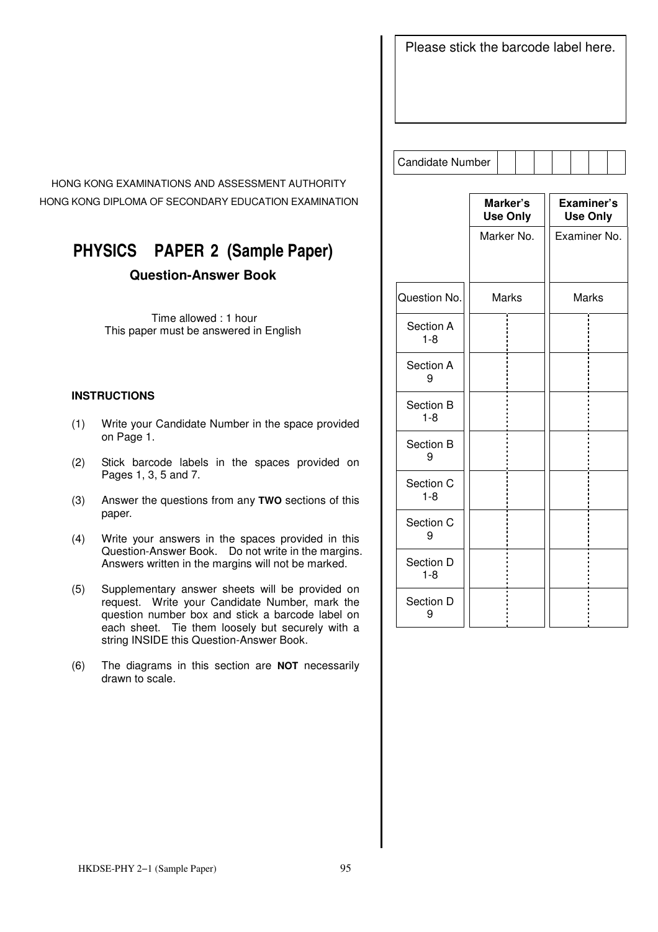Please stick the barcode label here.

HONG KONG EXAMINATIONS AND ASSESSMENT AUTHORITY HONG KONG DIPLOMA OF SECONDARY EDUCATION EXAMINATION

# **PHYSICS PAPER 2 (Sample Paper)**

### **Question-Answer Book**

 Time allowed : 1 hour This paper must be answered in English

#### **INSTRUCTIONS**

- (1) Write your Candidate Number in the space provided on Page 1.
- (2) Stick barcode labels in the spaces provided on Pages 1, 3, 5 and 7.
- (3) Answer the questions from any **TWO** sections of this paper.
- (4) Write your answers in the spaces provided in this Question-Answer Book. Do not write in the margins. Answers written in the margins will not be marked.
- (5) Supplementary answer sheets will be provided on request. Write your Candidate Number, mark the question number box and stick a barcode label on each sheet. Tie them loosely but securely with a string INSIDE this Question-Answer Book.
- (6) The diagrams in this section are **NOT** necessarily drawn to scale.

Candidate Number

j

| Marker's<br><b>Use Only</b> | Examiner's<br><b>Use Only</b> |
|-----------------------------|-------------------------------|
| Marker No.                  | Examiner No.                  |
|                             |                               |
| <b>Marks</b>                | <b>Marks</b>                  |
|                             |                               |
|                             |                               |
|                             |                               |
|                             |                               |
|                             |                               |
|                             |                               |
|                             |                               |
|                             |                               |
|                             |                               |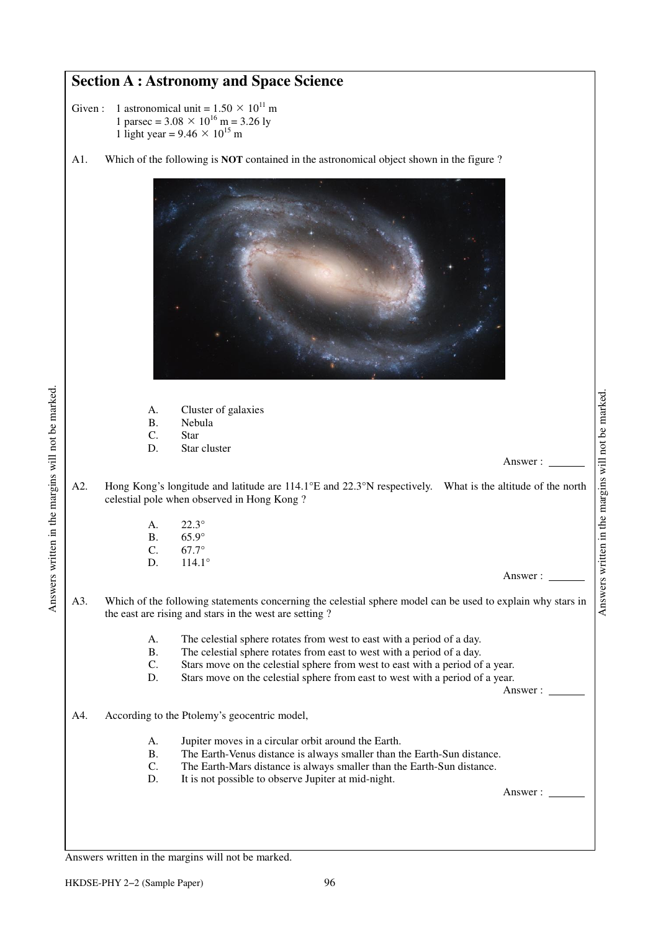## **Section A : Astronomy and Space Science**

- Given : 1 astronomical unit =  $1.50 \times 10^{11}$  m 1 parsec =  $3.08 \times 10^{16}$  m = 3.26 ly 1 light year =  $9.46 \times 10^{15}$  m
- A1. Which of the following is **NOT** contained in the astronomical object shown in the figure ?



|   | Cluster of galaxies |
|---|---------------------|
| B | <b>Nebula</b>       |

C. Star

Answers written in the margins will not be marked.

Answers written in the margins will not be marked.

D. Star cluster

Answer :

- A2. Hong Kong's longitude and latitude are 114.1°E and 22.3°N respectively. What is the altitude of the north celestial pole when observed in Hong Kong ?
	- A. 22.3° B. 65.9° C. 67.7° D. 114.1<sup>°</sup>

Answer :

- A3. Which of the following statements concerning the celestial sphere model can be used to explain why stars in the east are rising and stars in the west are setting ?
	- A. The celestial sphere rotates from west to east with a period of a day.
	- B. The celestial sphere rotates from east to west with a period of a day.<br>C. Stars move on the celestial sphere from west to east with a period of
	- Stars move on the celestial sphere from west to east with a period of a year.
	- D. Stars move on the celestial sphere from east to west with a period of a year.

Answer :

- A4. According to the Ptolemy's geocentric model,
	- A. Jupiter moves in a circular orbit around the Earth.
	- B. The Earth-Venus distance is always smaller than the Earth-Sun distance.
	- C. The Earth-Mars distance is always smaller than the Earth-Sun distance.
	- D. It is not possible to observe Jupiter at mid-night.

Answer :

Answers written in the margins will not be marked.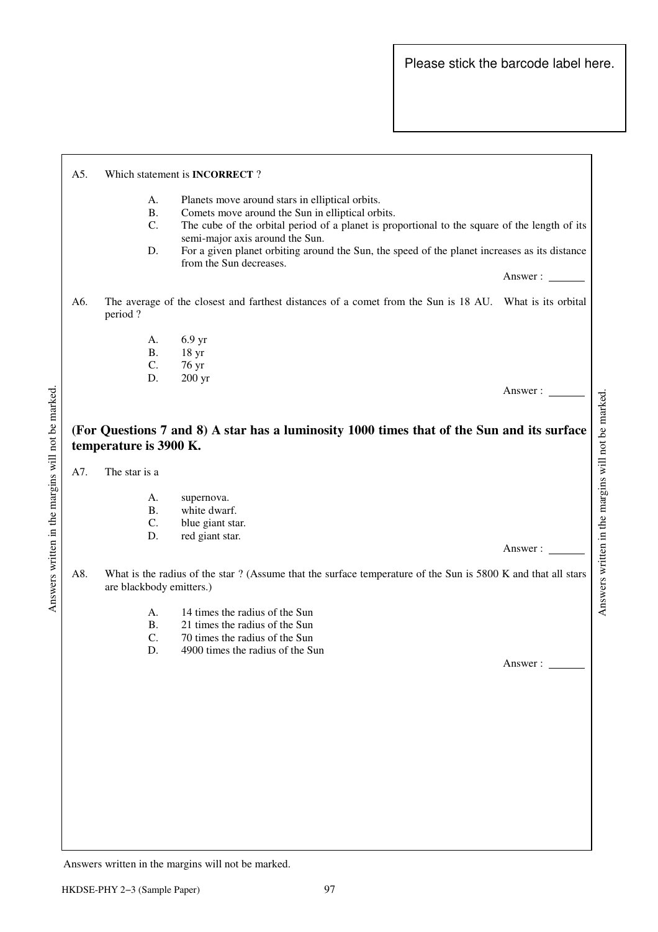| A.<br><b>B.</b><br>C.<br>D. | Planets move around stars in elliptical orbits.<br>Comets move around the Sun in elliptical orbits.<br>semi-major axis around the Sun. |                                                                                                                                                                                                                                                                                                                                                                                                                                                                                                                                                                                                                                                                    |
|-----------------------------|----------------------------------------------------------------------------------------------------------------------------------------|--------------------------------------------------------------------------------------------------------------------------------------------------------------------------------------------------------------------------------------------------------------------------------------------------------------------------------------------------------------------------------------------------------------------------------------------------------------------------------------------------------------------------------------------------------------------------------------------------------------------------------------------------------------------|
|                             |                                                                                                                                        | Answer:                                                                                                                                                                                                                                                                                                                                                                                                                                                                                                                                                                                                                                                            |
| period?                     |                                                                                                                                        |                                                                                                                                                                                                                                                                                                                                                                                                                                                                                                                                                                                                                                                                    |
| А.<br><b>B.</b><br>C.       | 6.9 <sub>yr</sub><br>18 <sub>yr</sub><br>76 yr                                                                                         |                                                                                                                                                                                                                                                                                                                                                                                                                                                                                                                                                                                                                                                                    |
| D.                          | 200 <sub>yr</sub>                                                                                                                      | Answer:                                                                                                                                                                                                                                                                                                                                                                                                                                                                                                                                                                                                                                                            |
|                             |                                                                                                                                        |                                                                                                                                                                                                                                                                                                                                                                                                                                                                                                                                                                                                                                                                    |
|                             |                                                                                                                                        |                                                                                                                                                                                                                                                                                                                                                                                                                                                                                                                                                                                                                                                                    |
| А.                          | supernova.                                                                                                                             |                                                                                                                                                                                                                                                                                                                                                                                                                                                                                                                                                                                                                                                                    |
| C.                          | blue giant star.                                                                                                                       |                                                                                                                                                                                                                                                                                                                                                                                                                                                                                                                                                                                                                                                                    |
| D.                          | red giant star.                                                                                                                        | Answer:                                                                                                                                                                                                                                                                                                                                                                                                                                                                                                                                                                                                                                                            |
|                             |                                                                                                                                        |                                                                                                                                                                                                                                                                                                                                                                                                                                                                                                                                                                                                                                                                    |
| A.<br><b>B.</b><br>C.<br>D. | 14 times the radius of the Sun<br>21 times the radius of the Sun<br>70 times the radius of the Sun<br>4900 times the radius of the Sun |                                                                                                                                                                                                                                                                                                                                                                                                                                                                                                                                                                                                                                                                    |
|                             |                                                                                                                                        | Answer : $\_\_$                                                                                                                                                                                                                                                                                                                                                                                                                                                                                                                                                                                                                                                    |
|                             |                                                                                                                                        |                                                                                                                                                                                                                                                                                                                                                                                                                                                                                                                                                                                                                                                                    |
|                             | The star is a<br><b>B.</b>                                                                                                             | Which statement is <b>INCORRECT</b> ?<br>The cube of the orbital period of a planet is proportional to the square of the length of its<br>For a given planet orbiting around the Sun, the speed of the planet increases as its distance<br>from the Sun decreases.<br>The average of the closest and farthest distances of a comet from the Sun is 18 AU. What is its orbital<br>(For Questions 7 and 8) A star has a luminosity 1000 times that of the Sun and its surface<br>temperature is 3900 K.<br>white dwarf.<br>What is the radius of the star ? (Assume that the surface temperature of the Sun is 5800 K and that all stars<br>are blackbody emitters.) |

Answers written in the margins will not be marked.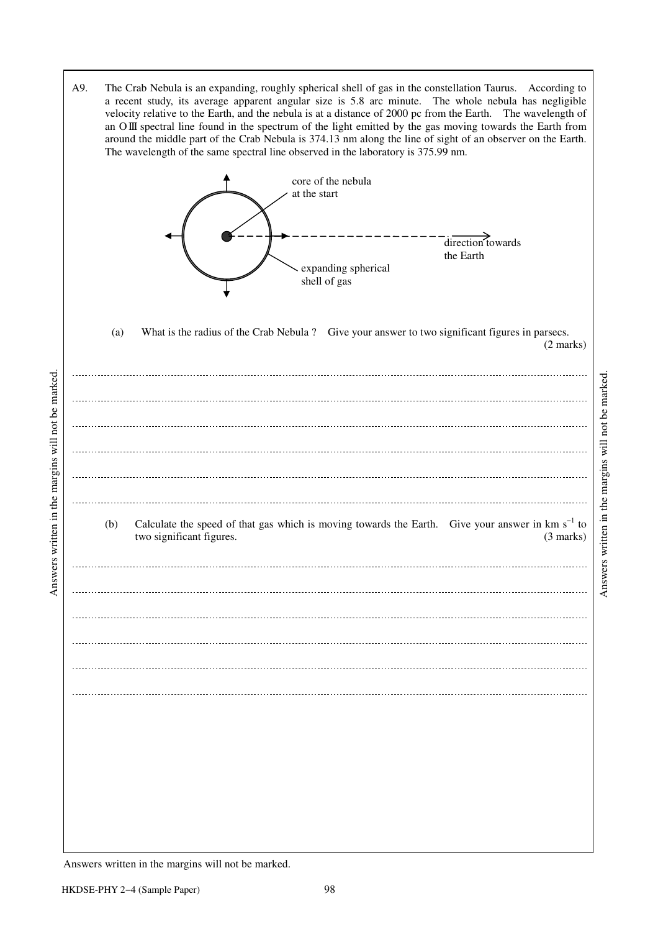A9. The Crab Nebula is an expanding, roughly spherical shell of gas in the constellation Taurus. According to a recent study, its average apparent angular size is 5.8 arc minute. The whole nebula has negligible velocity relative to the Earth, and the nebula is at a distance of 2000 pc from the Earth. The wavelength of an O III spectral line found in the spectrum of the light emitted by the gas moving towards the Earth from around the middle part of the Crab Nebula is 374.13 nm along the line of sight of an observer on the Earth. The wavelength of the same spectral line observed in the laboratory is 375.99 nm.



 (a) What is the radius of the Crab Nebula ? Give your answer to two significant figures in parsecs. (2 marks)



Answers written in the margins will not be marked. Answers written in the margins will not be marked.

Answers written in the margins will not be marked.

Answers written in the margins will not be marked.

Answers written in the margins will not be marked.

 $\overline{a}$ 

 $\overline{a}$ 

 $\overline{a}$ 

 $\overline{a}$ 

 $\overline{a}$ 

 $\overline{a}$ 

 $\overline{a}$ 

 $\overline{a}$ 

 $\overline{a}$ 

 $\overline{a}$ 

 $\overline{a}$ 

 $\overline{a}$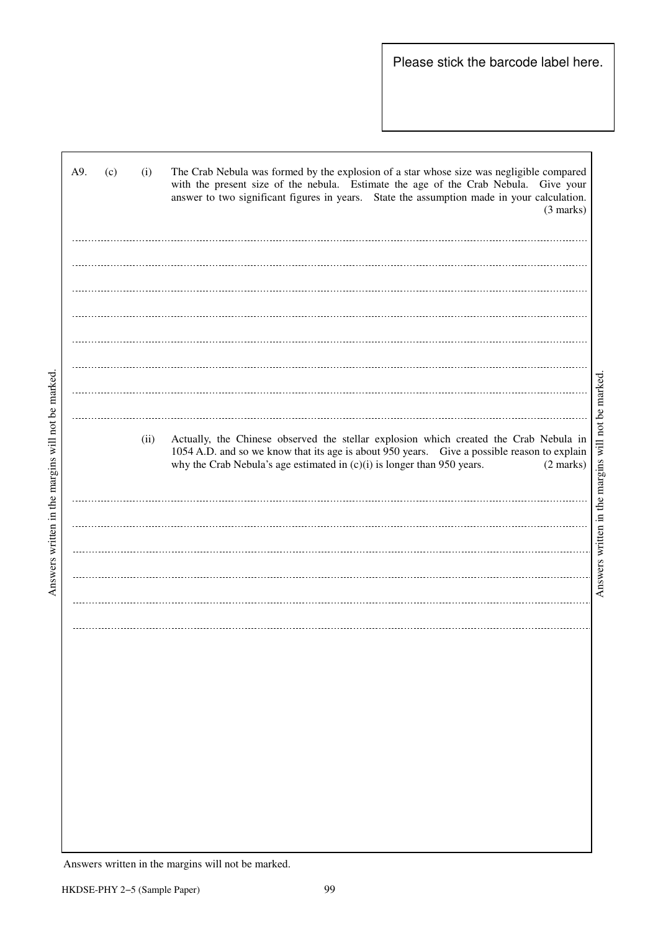| A9.<br>(c)<br>(i) | The Crab Nebula was formed by the explosion of a star whose size was negligible compared<br>with the present size of the nebula. Estimate the age of the Crab Nebula. Give your<br>answer to two significant figures in years. State the assumption made in your calculation.<br>$(3 \text{ marks})$                                           |
|-------------------|------------------------------------------------------------------------------------------------------------------------------------------------------------------------------------------------------------------------------------------------------------------------------------------------------------------------------------------------|
|                   |                                                                                                                                                                                                                                                                                                                                                |
|                   |                                                                                                                                                                                                                                                                                                                                                |
|                   |                                                                                                                                                                                                                                                                                                                                                |
|                   |                                                                                                                                                                                                                                                                                                                                                |
|                   |                                                                                                                                                                                                                                                                                                                                                |
|                   |                                                                                                                                                                                                                                                                                                                                                |
|                   |                                                                                                                                                                                                                                                                                                                                                |
|                   |                                                                                                                                                                                                                                                                                                                                                |
|                   |                                                                                                                                                                                                                                                                                                                                                |
|                   |                                                                                                                                                                                                                                                                                                                                                |
| (ii)              | Answers written in the margins will not be marked.<br>Actually, the Chinese observed the stellar explosion which created the Crab Nebula in<br>1054 A.D. and so we know that its age is about 950 years. Give a possible reason to explain<br>why the Crab Nebula's age estimated in $(c)(i)$ is longer than 950 years.<br>$(2 \text{ marks})$ |
|                   |                                                                                                                                                                                                                                                                                                                                                |
|                   |                                                                                                                                                                                                                                                                                                                                                |
|                   |                                                                                                                                                                                                                                                                                                                                                |
|                   |                                                                                                                                                                                                                                                                                                                                                |
|                   |                                                                                                                                                                                                                                                                                                                                                |
|                   |                                                                                                                                                                                                                                                                                                                                                |
|                   |                                                                                                                                                                                                                                                                                                                                                |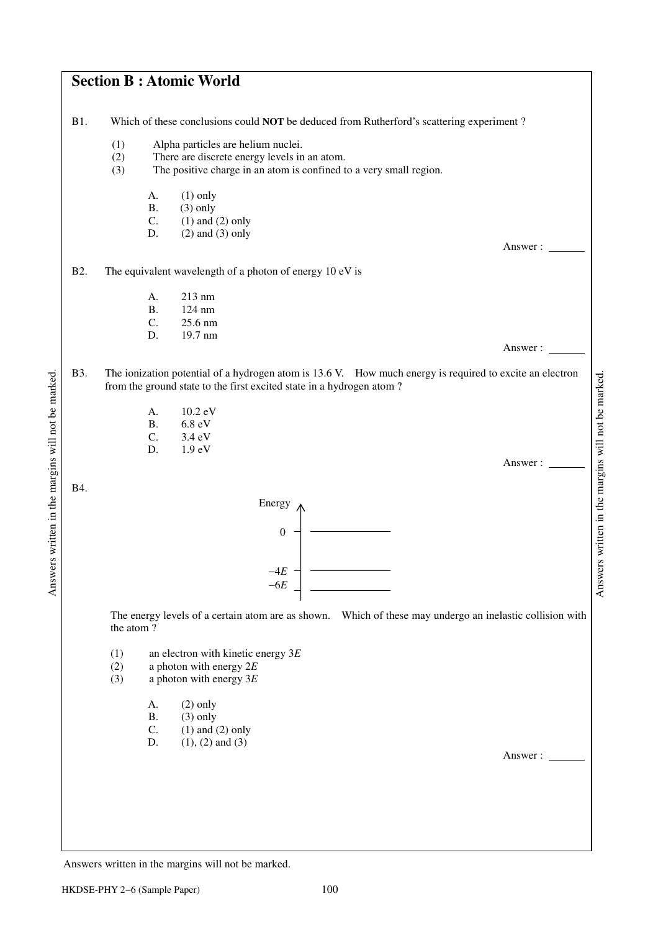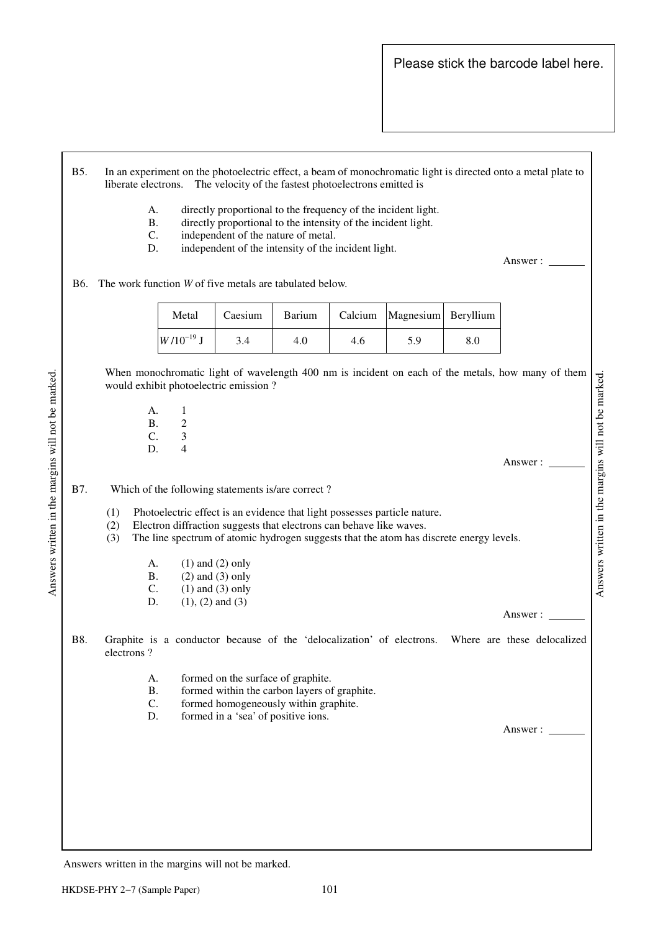- B5. In an experiment on the photoelectric effect, a beam of monochromatic light is directed onto a metal plate to liberate electrons. The velocity of the fastest photoelectrons emitted is
	- A. directly proportional to the frequency of the incident light.
	- B. directly proportional to the intensity of the incident light.
	- C. independent of the nature of metal.
	- D. independent of the intensity of the incident light.

Answer :

B6. The work function *W* of five metals are tabulated below.

| Metal          | Caesium | Barium |     | Calcium   Magnesium   Beryllium |     |
|----------------|---------|--------|-----|---------------------------------|-----|
| $W/10^{-19}$ J | 3.4     | 4.0    | 4.6 | 5.9                             | 8.0 |

 When monochromatic light of wavelength 400 nm is incident on each of the metals, how many of them Answers written in the margins will not be marked. Answers written in the margins will not be marked. would exhibit photoelectric emission ?

 A. 1 **B.** 2 C. 3 D. 4

Answers written in the margins will not be marked.

Answers written in the margins will not be marked.

Answer :

Answer :

#### B7. Which of the following statements is/are correct ?

- (1) Photoelectric effect is an evidence that light possesses particle nature.
- (2) Electron diffraction suggests that electrons can behave like waves.
- (3) The line spectrum of atomic hydrogen suggests that the atom has discrete energy levels.
	- A. (1) and (2) only
	- B.  $(2)$  and  $(3)$  only
	- C. (1) and (3) only<br>D. (1), (2) and (3)  $(1), (2)$  and  $(3)$
	-
- B8. Graphite is a conductor because of the 'delocalization' of electrons. Where are these delocalized electrons ?
	- A. formed on the surface of graphite.
	- B. formed within the carbon layers of graphite.
	- C. formed homogeneously within graphite.<br>D. formed in a 'sea' of positive ions.
	- formed in a 'sea' of positive ions.

Answer :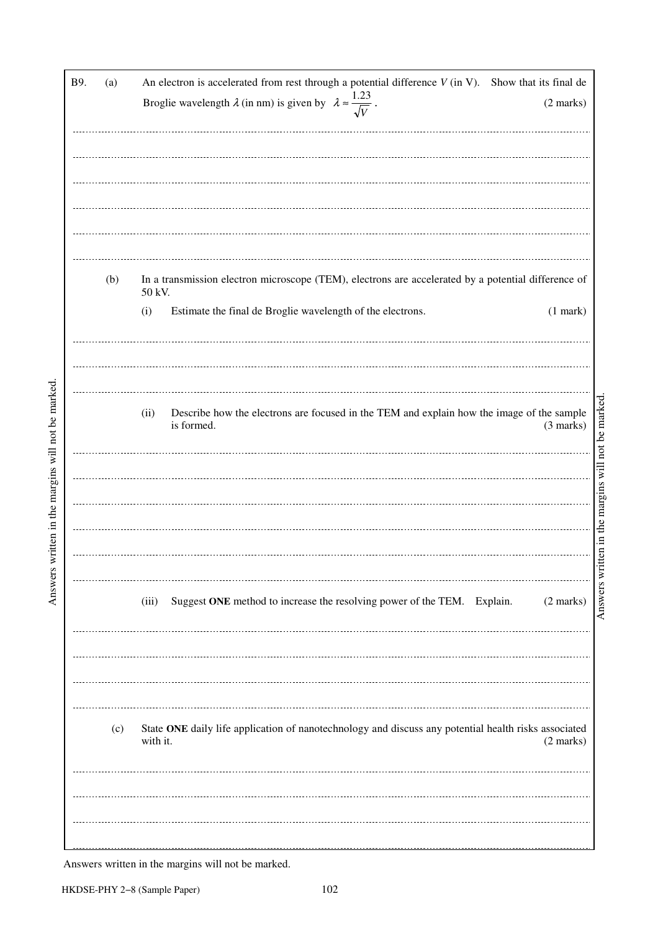| B9. | (a) | An electron is accelerated from rest through a potential difference $V$ (in V). Show that its final de<br>Broglie wavelength $\lambda$ (in nm) is given by $\lambda \approx \frac{1.23}{\sqrt{V}}$ .<br>(2 marks) |  |  |  |  |
|-----|-----|-------------------------------------------------------------------------------------------------------------------------------------------------------------------------------------------------------------------|--|--|--|--|
|     |     |                                                                                                                                                                                                                   |  |  |  |  |
|     |     |                                                                                                                                                                                                                   |  |  |  |  |
|     |     |                                                                                                                                                                                                                   |  |  |  |  |
|     |     |                                                                                                                                                                                                                   |  |  |  |  |
|     |     |                                                                                                                                                                                                                   |  |  |  |  |
|     |     |                                                                                                                                                                                                                   |  |  |  |  |
|     |     |                                                                                                                                                                                                                   |  |  |  |  |
|     | (b) | In a transmission electron microscope (TEM), electrons are accelerated by a potential difference of<br>50 kV.                                                                                                     |  |  |  |  |
|     |     | Estimate the final de Broglie wavelength of the electrons.<br>(i)<br>$(1$ mark $)$                                                                                                                                |  |  |  |  |
|     |     |                                                                                                                                                                                                                   |  |  |  |  |
|     |     |                                                                                                                                                                                                                   |  |  |  |  |
|     |     |                                                                                                                                                                                                                   |  |  |  |  |
|     |     |                                                                                                                                                                                                                   |  |  |  |  |
|     |     | Describe how the electrons are focused in the TEM and explain how the image of the sample<br>(ii)<br>is formed.<br>(3 marks)                                                                                      |  |  |  |  |
|     |     |                                                                                                                                                                                                                   |  |  |  |  |
|     |     |                                                                                                                                                                                                                   |  |  |  |  |
|     |     |                                                                                                                                                                                                                   |  |  |  |  |
|     |     |                                                                                                                                                                                                                   |  |  |  |  |
|     |     |                                                                                                                                                                                                                   |  |  |  |  |
|     |     |                                                                                                                                                                                                                   |  |  |  |  |
|     |     |                                                                                                                                                                                                                   |  |  |  |  |
|     |     | Suggest ONE method to increase the resolving power of the TEM. Explain.<br>$(2 \text{ marks})$<br>(iii)                                                                                                           |  |  |  |  |
|     |     |                                                                                                                                                                                                                   |  |  |  |  |
|     |     |                                                                                                                                                                                                                   |  |  |  |  |
|     |     |                                                                                                                                                                                                                   |  |  |  |  |
|     |     |                                                                                                                                                                                                                   |  |  |  |  |
|     |     |                                                                                                                                                                                                                   |  |  |  |  |
|     | (c) | State ONE daily life application of nanotechnology and discuss any potential health risks associated<br>with it.                                                                                                  |  |  |  |  |
|     |     | $(2 \text{ marks})$                                                                                                                                                                                               |  |  |  |  |
|     |     |                                                                                                                                                                                                                   |  |  |  |  |
|     |     |                                                                                                                                                                                                                   |  |  |  |  |
|     |     |                                                                                                                                                                                                                   |  |  |  |  |
|     |     |                                                                                                                                                                                                                   |  |  |  |  |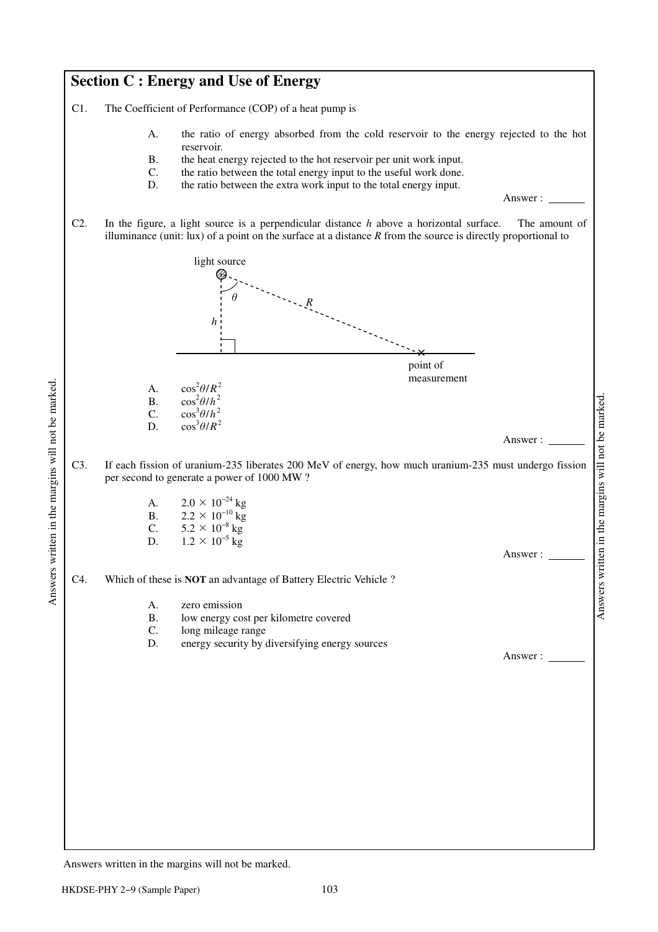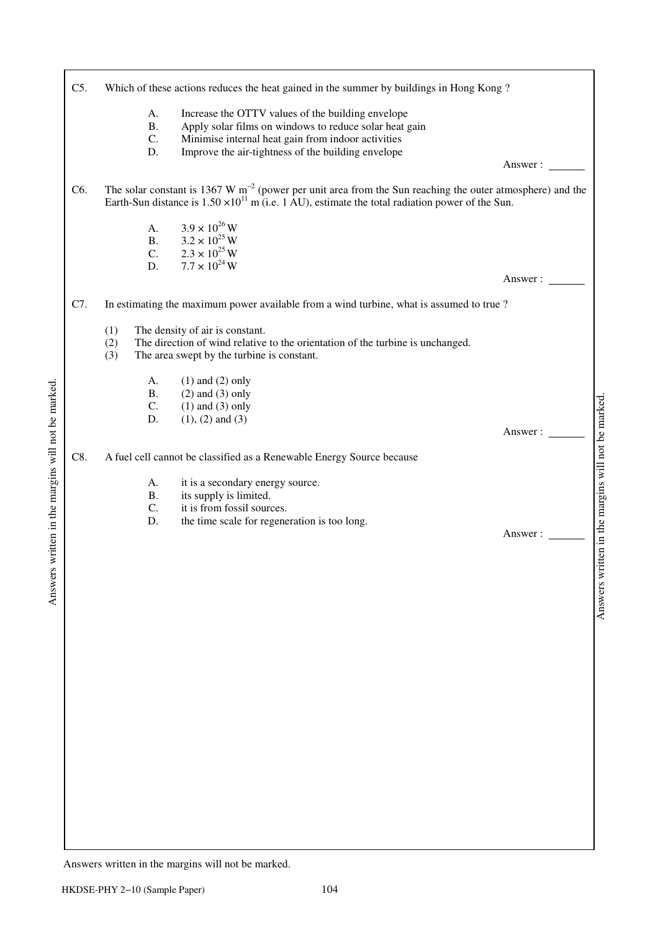| C5.              | Which of these actions reduces the heat gained in the summer by buildings in Hong Kong?                                                                                                                                                                |                                   |
|------------------|--------------------------------------------------------------------------------------------------------------------------------------------------------------------------------------------------------------------------------------------------------|-----------------------------------|
|                  | Increase the OTTV values of the building envelope<br>A.<br>Apply solar films on windows to reduce solar heat gain<br><b>B.</b><br>C.<br>Minimise internal heat gain from indoor activities<br>Improve the air-tightness of the building envelope<br>D. | Answer : $\overline{\phantom{a}}$ |
| C <sub>6</sub> . | The solar constant is 1367 W $m^{-2}$ (power per unit area from the Sun reaching the outer atmosphere) and the<br>Earth-Sun distance is $1.50 \times 10^{11}$ m (i.e. 1 AU), estimate the total radiation power of the Sun.                            |                                   |
|                  | $3.9 \times 10^{26}$ W<br>А.<br>$3.2 \times 10^{25}$ W<br><b>B.</b><br>$2.3 \times 10^{25}$ W<br>7.7 $\times 10^{24}$ W<br>$\mathsf{C}$ .<br>D.                                                                                                        | Answer:                           |
| C7.              | In estimating the maximum power available from a wind turbine, what is assumed to true?                                                                                                                                                                |                                   |
|                  | The density of air is constant.<br>(1)<br>The direction of wind relative to the orientation of the turbine is unchanged.<br>(2)<br>(3)<br>The area swept by the turbine is constant.                                                                   |                                   |
|                  | $(1)$ and $(2)$ only<br>А.<br>$(2)$ and $(3)$ only<br><b>B.</b><br>C.<br>$(1)$ and $(3)$ only<br>$(1), (2)$ and $(3)$<br>D.                                                                                                                            | Answer :                          |
| C8.              | A fuel cell cannot be classified as a Renewable Energy Source because                                                                                                                                                                                  |                                   |
|                  | it is a secondary energy source.<br>А.<br>its supply is limited.<br><b>B.</b><br>it is from fossil sources.<br>C.<br>the time scale for regeneration is too long.<br>D.                                                                                | Answer:                           |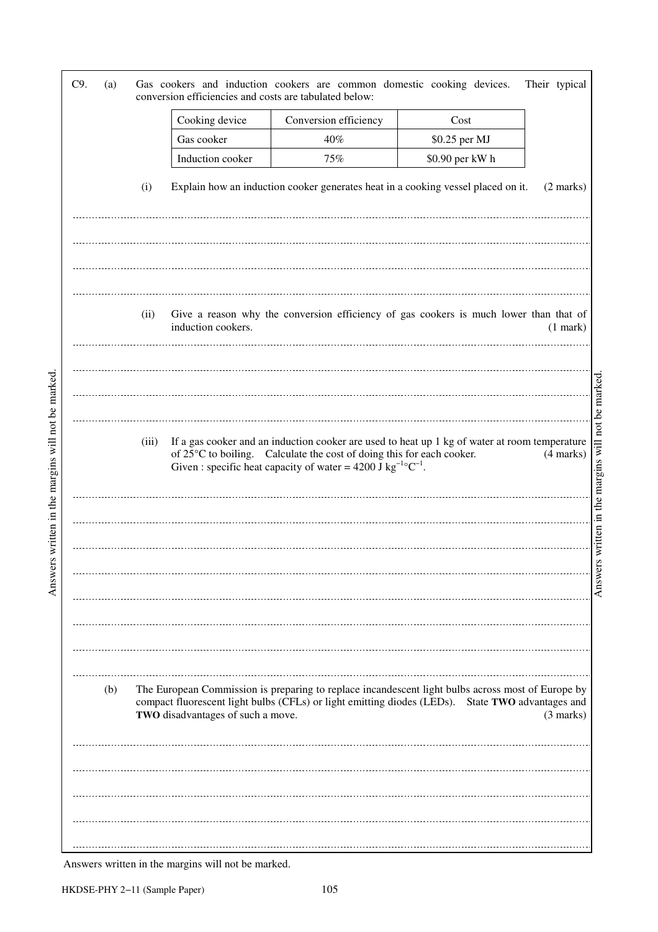|     |       |                                   | conversion efficiencies and costs are tabulated below:                                                                                                                                                                                                         |                 |                     |
|-----|-------|-----------------------------------|----------------------------------------------------------------------------------------------------------------------------------------------------------------------------------------------------------------------------------------------------------------|-----------------|---------------------|
|     |       | Cooking device                    | Conversion efficiency                                                                                                                                                                                                                                          | Cost            |                     |
|     |       | Gas cooker                        | 40%                                                                                                                                                                                                                                                            | \$0.25 per MJ   |                     |
|     |       | Induction cooker                  | 75%                                                                                                                                                                                                                                                            | \$0.90 per kW h |                     |
|     | (i)   |                                   | Explain how an induction cooker generates heat in a cooking vessel placed on it.                                                                                                                                                                               |                 | $(2 \text{ marks})$ |
|     |       |                                   |                                                                                                                                                                                                                                                                |                 |                     |
|     | (ii)  | induction cookers.                | Give a reason why the conversion efficiency of gas cookers is much lower than that of                                                                                                                                                                          |                 | $(1$ mark)          |
|     |       |                                   |                                                                                                                                                                                                                                                                |                 |                     |
|     | (iii) |                                   | If a gas cooker and an induction cooker are used to heat up 1 kg of water at room temperature<br>of 25°C to boiling. Calculate the cost of doing this for each cooker.<br>Given : specific heat capacity of water = 4200 J kg <sup>-1</sup> °C <sup>-1</sup> . |                 | $(4$ marks)         |
|     |       |                                   |                                                                                                                                                                                                                                                                |                 |                     |
|     |       |                                   |                                                                                                                                                                                                                                                                |                 |                     |
| (b) |       | TWO disadvantages of such a move. | The European Commission is preparing to replace incandescent light bulbs across most of Europe by<br>compact fluorescent light bulbs (CFLs) or light emitting diodes (LEDs). State TWO advantages and                                                          |                 | $(3 \text{ marks})$ |
|     |       |                                   |                                                                                                                                                                                                                                                                |                 |                     |
|     |       |                                   |                                                                                                                                                                                                                                                                |                 |                     |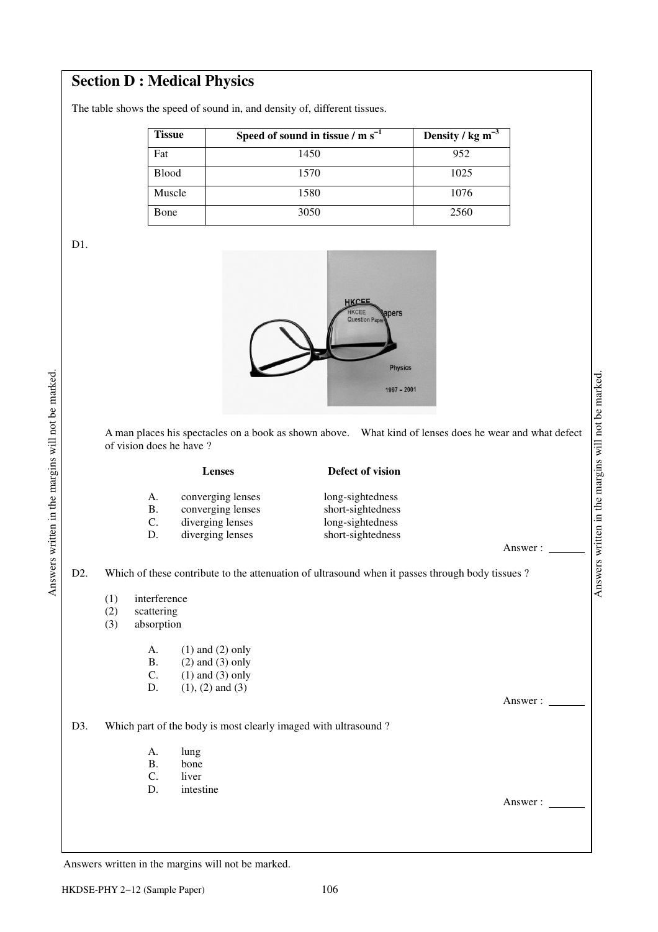## **Section D : Medical Physics**

The table shows the speed of sound in, and density of, different tissues.

| <b>Tissue</b> | Speed of sound in tissue $/m s^{-1}$ | Density / $kg \, \text{m}^{-3}$ |
|---------------|--------------------------------------|---------------------------------|
| Fat           | 1450                                 | 952                             |
| <b>Blood</b>  | 1570                                 | 1025                            |
| Muscle        | 1580                                 | 1076                            |
| Bone          | 3050                                 | 2560                            |

D1.



 A man places his spectacles on a book as shown above. What kind of lenses does he wear and what defect of vision does he have ?

 **Lenses Defect of vision**  A. converging lenses long-sightedness **B.** converging lenses short-sightedness C. diverging lenses long-sightedness D. diverging lenses short-sightedness

D2. Which of these contribute to the attenuation of ultrasound when it passes through body tissues ?

- (1) interference
- (2) scattering<br>(3) absorption
- absorption

| $\mathsf{A}$ . | $(1)$ and $(2)$ only |
|----------------|----------------------|
| В.             | $(2)$ and $(3)$ only |
| C.             | $(1)$ and $(3)$ only |
| $\mathbf{D}$   | $(1), (2)$ and $(3)$ |

D3. Which part of the body is most clearly imaged with ultrasound?

- A. lung
- B. bone<br>C. liver liver
- D. intestine

Answer :

Answer :

Answer :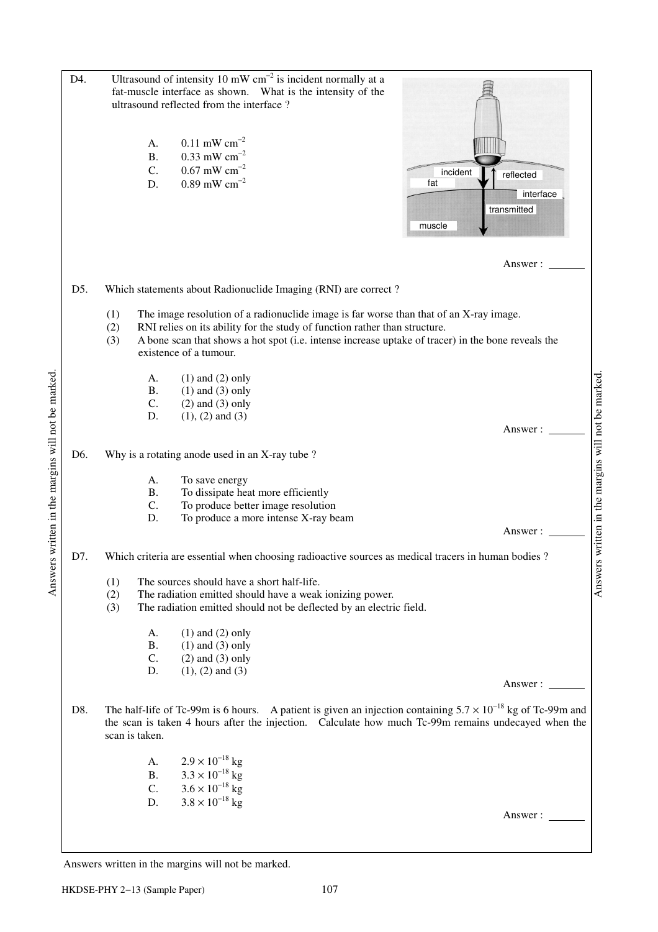| D4.              | A.                          | Ultrasound of intensity 10 mW $cm^{-2}$ is incident normally at a<br>fat-muscle interface as shown. What is the intensity of the<br>ultrasound reflected from the interface?<br>$0.11$ mW cm <sup>-2</sup>                                                                                           |                                                                    |
|------------------|-----------------------------|------------------------------------------------------------------------------------------------------------------------------------------------------------------------------------------------------------------------------------------------------------------------------------------------------|--------------------------------------------------------------------|
|                  | <b>B.</b><br>C.<br>D.       | $0.33$ mW cm <sup>-2</sup><br>$0.67$ mW cm <sup>-2</sup><br>$0.89$ mW cm <sup>-2</sup>                                                                                                                                                                                                               | incident<br>reflected<br>fat<br>interface<br>transmitted<br>muscle |
|                  |                             |                                                                                                                                                                                                                                                                                                      | Answer:                                                            |
| D5.              |                             | Which statements about Radionuclide Imaging (RNI) are correct?                                                                                                                                                                                                                                       |                                                                    |
|                  | (1)<br>(2)<br>(3)           | The image resolution of a radionuclide image is far worse than that of an X-ray image.<br>RNI relies on its ability for the study of function rather than structure.<br>A bone scan that shows a hot spot (i.e. intense increase uptake of tracer) in the bone reveals the<br>existence of a tumour. |                                                                    |
|                  | A.<br><b>B.</b><br>C.<br>D. | $(1)$ and $(2)$ only<br>$(1)$ and $(3)$ only<br>$(2)$ and $(3)$ only<br>$(1), (2)$ and $(3)$                                                                                                                                                                                                         |                                                                    |
|                  |                             |                                                                                                                                                                                                                                                                                                      | Answer:                                                            |
| D <sub>6</sub> . |                             | Why is a rotating anode used in an X-ray tube ?                                                                                                                                                                                                                                                      |                                                                    |
|                  | А.<br><b>B.</b><br>C.<br>D. | To save energy<br>To dissipate heat more efficiently<br>To produce better image resolution<br>To produce a more intense X-ray beam                                                                                                                                                                   | Answers written in the margins will not be marked                  |
|                  |                             |                                                                                                                                                                                                                                                                                                      | Answer:                                                            |
| D7.              |                             | Which criteria are essential when choosing radioactive sources as medical tracers in human bodies?                                                                                                                                                                                                   |                                                                    |
|                  | (1)<br>(2)<br>(3)           | The sources should have a short half-life.<br>The radiation emitted should have a weak ionizing power.<br>The radiation emitted should not be deflected by an electric field.                                                                                                                        |                                                                    |
|                  | А.                          | $(1)$ and $(2)$ only                                                                                                                                                                                                                                                                                 |                                                                    |
|                  | <b>B.</b><br>C.             | $(1)$ and $(3)$ only<br>$(2)$ and $(3)$ only                                                                                                                                                                                                                                                         |                                                                    |
|                  | D.                          | $(1), (2)$ and $(3)$                                                                                                                                                                                                                                                                                 | Answer:                                                            |
| D8.              | scan is taken.              | The half-life of Tc-99m is 6 hours. A patient is given an injection containing $5.7 \times 10^{-18}$ kg of Tc-99m and<br>the scan is taken 4 hours after the injection. Calculate how much Tc-99m remains undecayed when the                                                                         |                                                                    |
|                  | A.                          | $2.9 \times 10^{-18}$ kg                                                                                                                                                                                                                                                                             |                                                                    |
|                  |                             | B. $3.3 \times 10^{-18}$ kg                                                                                                                                                                                                                                                                          |                                                                    |
|                  | $\mathsf{C}$ .<br>D.        | $3.6 \times 10^{-18}$ kg<br>$3.8 \times 10^{-18}$ kg                                                                                                                                                                                                                                                 |                                                                    |
|                  |                             |                                                                                                                                                                                                                                                                                                      | Answer:                                                            |
|                  |                             |                                                                                                                                                                                                                                                                                                      |                                                                    |
|                  |                             |                                                                                                                                                                                                                                                                                                      |                                                                    |